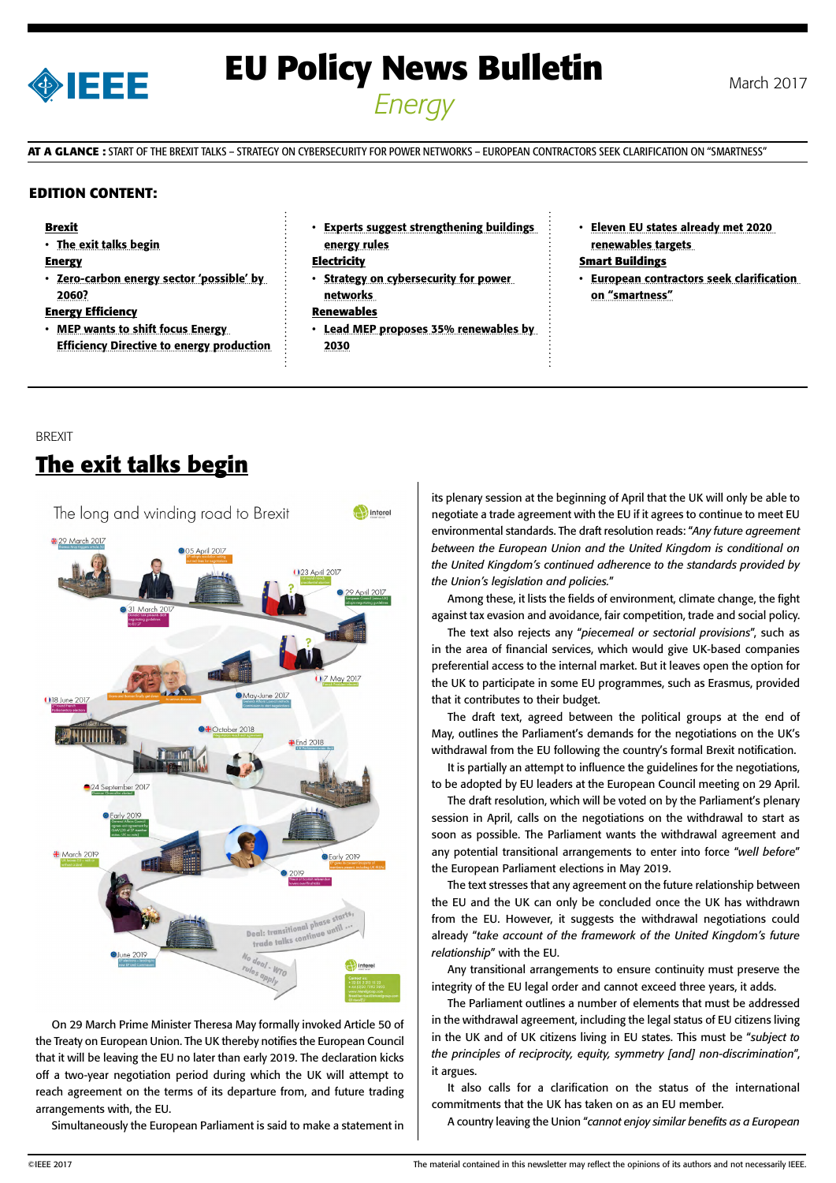

# **EU Policy News Bulletin** March 2017 *Energy*

**AT A GLANCE :** START OF THE BREXIT TALKS – STRATEGY ON CYBERSECURITY FOR POWER NETWORKS – EUROPEAN CONTRACTORS SEEK CLARIFICATION ON "SMARTNESS"

### **EDITION CONTENT:**

#### **Brexit**

• The exit talks begin

#### **Energy**

• [Zero-carbon energy sector 'possible' by](#page-1-0)  [2060?](#page-1-0)

### **Energy Efficiency**

- **MEP wants to shift focus Energy** [Efficiency Directive to energy production](#page-1-0)
- [Experts suggest strengthening buildings](#page-1-0)  [energy rules](#page-1-0)

#### **Electricity**

• [Strategy on cybersecurity for power](#page-2-0)  [networks](#page-2-0) 

### **Renewables**

- Lead MEP proposes 35% renewables by [2030](#page-2-0)
- [Eleven EU states already met 2020](#page-2-0)  [renewables targets](#page-2-0)

### **Smart Buildings**

• [European contractors seek clarification](#page-3-0)  [on "smartness"](#page-3-0)

### BREXIT

# **The exit talks begin**



On 29 March Prime Minister Theresa May formally invoked Article 50 of the Treaty on European Union. The UK thereby notifies the European Council that it will be leaving the EU no later than early 2019. The declaration kicks off a two-year negotiation period during which the UK will attempt to reach agreement on the terms of its departure from, and future trading arrangements with, the EU.

Simultaneously the European Parliament is said to make a statement in

its plenary session at the beginning of April that the UK will only be able to negotiate a trade agreement with the EU if it agrees to continue to meet EU environmental standards. The draft resolution reads: "*Any future agreement between the European Union and the United Kingdom is conditional on the United Kingdom's continued adherence to the standards provided by the Union's legislation and policies.*"

Among these, it lists the fields of environment, climate change, the fight against tax evasion and avoidance, fair competition, trade and social policy.

The text also rejects any "*piecemeal or sectorial provisions*", such as in the area of financial services, which would give UK-based companies preferential access to the internal market. But it leaves open the option for the UK to participate in some EU programmes, such as Erasmus, provided that it contributes to their budget.

The draft text, agreed between the political groups at the end of May, outlines the Parliament's demands for the negotiations on the UK's withdrawal from the EU following the country's formal Brexit notification.

It is partially an attempt to influence the guidelines for the negotiations, to be adopted by EU leaders at the European Council meeting on 29 April.

The draft resolution, which will be voted on by the Parliament's plenary session in April, calls on the negotiations on the withdrawal to start as soon as possible. The Parliament wants the withdrawal agreement and any potential transitional arrangements to enter into force "*well before*" the European Parliament elections in May 2019.

The text stresses that any agreement on the future relationship between the EU and the UK can only be concluded once the UK has withdrawn from the EU. However, it suggests the withdrawal negotiations could already "*take account of the framework of the United Kingdom's future relationship*" with the EU.

Any transitional arrangements to ensure continuity must preserve the integrity of the EU legal order and cannot exceed three years, it adds.

The Parliament outlines a number of elements that must be addressed in the withdrawal agreement, including the legal status of EU citizens living in the UK and of UK citizens living in EU states. This must be "*subject to the principles of reciprocity, equity, symmetry [and] non-discrimination*", it argues.

It also calls for a clarification on the status of the international commitments that the UK has taken on as an EU member.

A country leaving the Union "*cannot enjoy similar benefits as a European*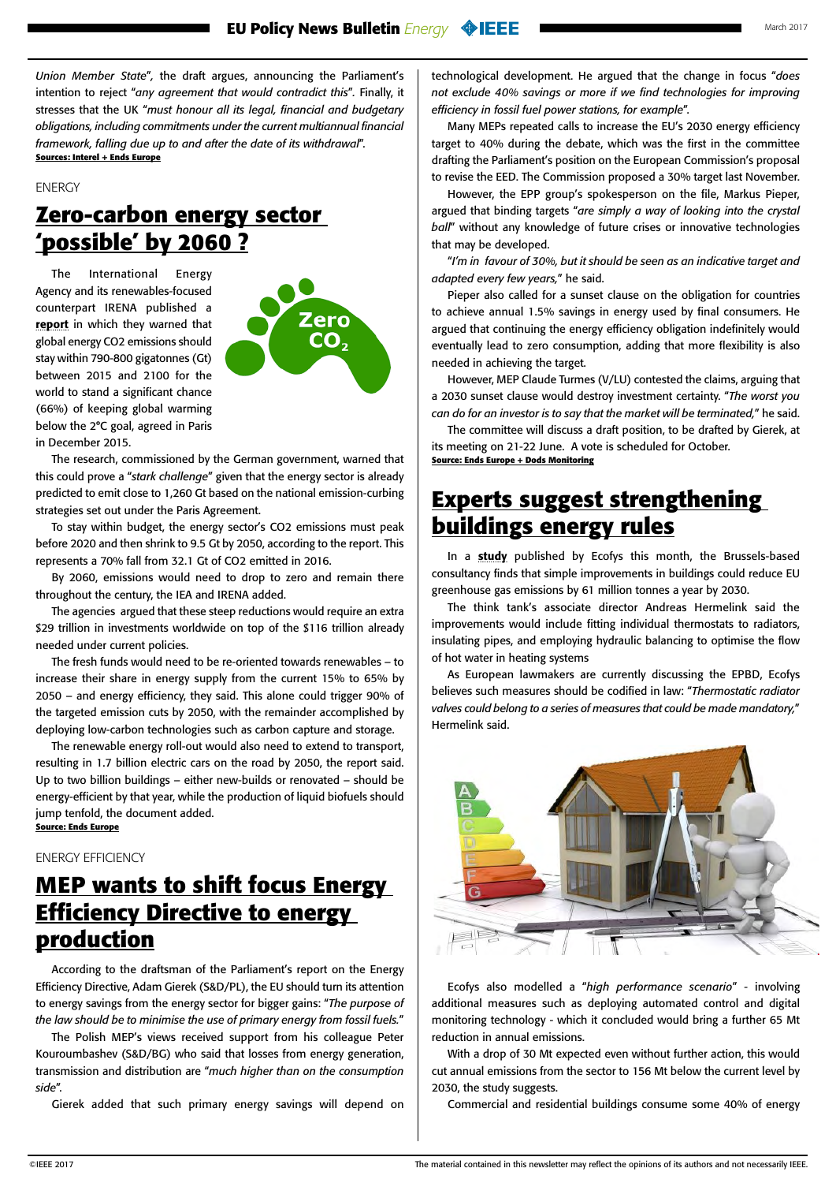<span id="page-1-0"></span>*Union Member State*"*,* the draft argues, announcing the Parliament's intention to reject "*any agreement that would contradict this*"*.* Finally, it stresses that the UK "*must honour all its legal, financial and budgetary obligations, including commitments under the current multiannual financial framework, falling due up to and after the date of its withdrawal*". **Sources: Interel + Ends Europe**

ENERGY

# **Zero-carbon energy sector 'possible' by 2060 ?**

The International Energy Agency and its renewables-focused counterpart IRENA published a [report](http://www.irena.org/DocumentDownloads/Publications/Perspectives_for_the_Energy_Transition_2017.pdf) in which they warned that global energy CO2 emissions should stay within 790-800 gigatonnes (Gt) between 2015 and 2100 for the world to stand a significant chance (66%) of keeping global warming below the 2°C goal, agreed in Paris in December 2015.



The research, commissioned by the German government, warned that this could prove a "*stark challenge*" given that the energy sector is already predicted to emit close to 1,260 Gt based on the national emission-curbing strategies set out under the Paris Agreement.

To stay within budget, the energy sector's CO2 emissions must peak before 2020 and then shrink to 9.5 Gt by 2050, according to the report. This represents a 70% fall from 32.1 Gt of CO2 emitted in 2016.

By 2060, emissions would need to drop to zero and remain there throughout the century, the IEA and IRENA added.

The agencies argued that these steep reductions would require an extra \$29 trillion in investments worldwide on top of the \$116 trillion already needed under current policies.

The fresh funds would need to be re-oriented towards renewables – to increase their share in energy supply from the current 15% to 65% by 2050 – and energy efficiency, they said. This alone could trigger 90% of the targeted emission cuts by 2050, with the remainder accomplished by deploying low-carbon technologies such as carbon capture and storage.

The renewable energy roll-out would also need to extend to transport, resulting in 1.7 billion electric cars on the road by 2050, the report said. Up to two billion buildings – either new-builds or renovated – should be energy-efficient by that year, while the production of liquid biofuels should jump tenfold, the document added. **Source: Ends Europe**

ENERGY EFFICIENCY

# **MEP wants to shift focus Energy Efficiency Directive to energy production**

According to the draftsman of the Parliament's report on the Energy Efficiency Directive, Adam Gierek (S&D/PL), the EU should turn its attention to energy savings from the energy sector for bigger gains: "*The purpose of the law should be to minimise the use of primary energy from fossil fuels.*"

The Polish MEP's views received support from his colleague Peter Kouroumbashev (S&D/BG) who said that losses from energy generation, transmission and distribution are "*much higher than on the consumption side*".

Gierek added that such primary energy savings will depend on

technological development. He argued that the change in focus "*does not exclude 40% savings or more if we find technologies for improving efficiency in fossil fuel power stations, for example*".

Many MEPs repeated calls to increase the EU's 2030 energy efficiency target to 40% during the debate, which was the first in the committee drafting the Parliament's position on the European Commission's proposal to revise the EED. The Commission proposed a 30% target last November.

However, the EPP group's spokesperson on the file, Markus Pieper, argued that binding targets "*are simply a way of looking into the crystal ball*" without any knowledge of future crises or innovative technologies that may be developed.

"*I'm in favour of 30%, but it should be seen as an indicative target and adapted every few years,*" he said.

Pieper also called for a sunset clause on the obligation for countries to achieve annual 1.5% savings in energy used by final consumers. He argued that continuing the energy efficiency obligation indefinitely would eventually lead to zero consumption, adding that more flexibility is also needed in achieving the target.

However, MEP Claude Turmes (V/LU) contested the claims, arguing that a 2030 sunset clause would destroy investment certainty. "*The worst you can do for an investor is to say that the market will be terminated,*" he said.

The committee will discuss a draft position, to be drafted by Gierek, at its meeting on 21-22 June. A vote is scheduled for October. **Source: Ends Europe + Dods Monitoring**

## **Experts suggest strengthening buildings energy rules**

In a [study](http://www.ecofys.com/files/files/ecofys-2017-optimising-the-energy-use-of-tbs-final-report.pdf) published by Ecofys this month, the Brussels-based consultancy finds that simple improvements in buildings could reduce EU greenhouse gas emissions by 61 million tonnes a year by 2030.

The think tank's associate director Andreas Hermelink said the improvements would include fitting individual thermostats to radiators, insulating pipes, and employing hydraulic balancing to optimise the flow of hot water in heating systems

As European lawmakers are currently discussing the EPBD, Ecofys believes such measures should be codified in law: "*Thermostatic radiator valves could belong to a series of measures that could be made mandatory,*" Hermelink said.



Ecofys also modelled a "*high performance scenario*" - involving additional measures such as deploying automated control and digital monitoring technology - which it concluded would bring a further 65 Mt reduction in annual emissions.

With a drop of 30 Mt expected even without further action, this would cut annual emissions from the sector to 156 Mt below the current level by 2030, the study suggests.

Commercial and residential buildings consume some 40% of energy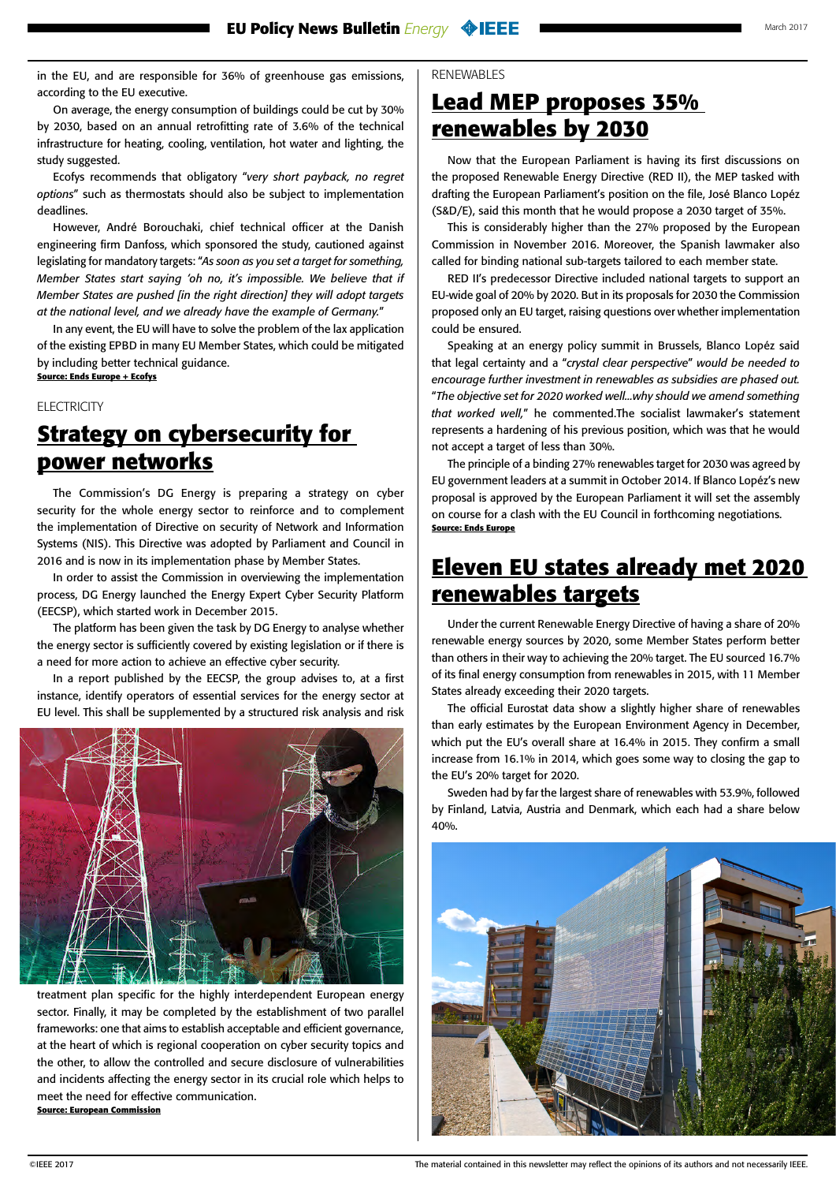<span id="page-2-0"></span>in the EU, and are responsible for 36% of greenhouse gas emissions, according to the EU executive.

On average, the energy consumption of buildings could be cut by 30% by 2030, based on an annual retrofitting rate of 3.6% of the technical infrastructure for heating, cooling, ventilation, hot water and lighting, the study suggested.

Ecofys recommends that obligatory "*very short payback, no regret options*" such as thermostats should also be subject to implementation deadlines.

However, André Borouchaki, chief technical officer at the Danish engineering firm Danfoss, which sponsored the study, cautioned against legislating for mandatory targets: "*As soon as you set a target for something, Member States start saying 'oh no, it's impossible. We believe that if Member States are pushed [in the right direction] they will adopt targets at the national level, and we already have the example of Germany.*"

In any event, the EU will have to solve the problem of the lax application of the existing EPBD in many EU Member States, which could be mitigated by including better technical guidance. **Source: Ends Europe + Ecofys**

### **ELECTRICITY**

# **Strategy on cybersecurity for power networks**

The Commission's DG Energy is preparing a strategy on cyber security for the whole energy sector to reinforce and to complement the implementation of Directive on security of Network and Information Systems (NIS). This Directive was adopted by Parliament and Council in 2016 and is now in its implementation phase by Member States.

In order to assist the Commission in overviewing the implementation process, DG Energy launched the Energy Expert Cyber Security Platform (EECSP), which started work in December 2015.

The platform has been given the task by DG Energy to analyse whether the energy sector is sufficiently covered by existing legislation or if there is a need for more action to achieve an effective cyber security.

In a report published by the EECSP, the group advises to, at a first instance, identify operators of essential services for the energy sector at EU level. This shall be supplemented by a structured risk analysis and risk



treatment plan specific for the highly interdependent European energy sector. Finally, it may be completed by the establishment of two parallel frameworks: one that aims to establish acceptable and efficient governance, at the heart of which is regional cooperation on cyber security topics and the other, to allow the controlled and secure disclosure of vulnerabilities and incidents affecting the energy sector in its crucial role which helps to meet the need for effective communication. **Source: European Commission**

### RENEWABLES

### **Lead MEP proposes 35% renewables by 2030**

Now that the European Parliament is having its first discussions on the proposed Renewable Energy Directive (RED II), the MEP tasked with drafting the European Parliament's position on the file, José Blanco Lopéz (S&D/E), said this month that he would propose a 2030 target of 35%.

This is considerably higher than the 27% proposed by the European Commission in November 2016. Moreover, the Spanish lawmaker also called for binding national sub-targets tailored to each member state.

RED II's predecessor Directive included national targets to support an EU-wide goal of 20% by 2020. But in its proposals for 2030 the Commission proposed only an EU target, raising questions over whether implementation could be ensured.

Speaking at an energy policy summit in Brussels, Blanco Lopéz said that legal certainty and a "*crystal clear perspective*" *would be needed to encourage further investment in renewables as subsidies are phased out.*  "*The objective set for 2020 worked well...why should we amend something that worked well,*" he commented.The socialist lawmaker's statement represents a hardening of his previous position, which was that he would not accept a target of less than 30%.

The principle of a binding 27% renewables target for 2030 was agreed by EU government leaders at a summit in October 2014. If Blanco Lopéz's new proposal is approved by the European Parliament it will set the assembly on course for a clash with the EU Council in forthcoming negotiations. **Source: Ends Europe**

### **Eleven EU states already met 2020 renewables targets**

Under the current Renewable Energy Directive of having a share of 20% renewable energy sources by 2020, some Member States perform better than others in their way to achieving the 20% target. The EU sourced 16.7% of its final energy consumption from renewables in 2015, with 11 Member States already exceeding their 2020 targets.

The official Eurostat data show a slightly higher share of renewables than early estimates by the European Environment Agency in December, which put the EU's overall share at 16.4% in 2015. They confirm a small increase from 16.1% in 2014, which goes some way to closing the gap to the EU's 20% target for 2020.

Sweden had by far the largest share of renewables with 53.9%, followed by Finland, Latvia, Austria and Denmark, which each had a share below 40%.